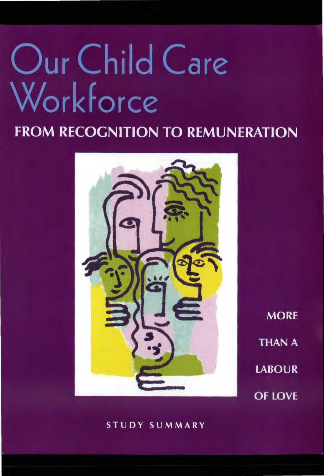# Our Child Care Workforce

## **FROM RECOGNITION TO REMUNERATION**



**MORE THAN A LABOUR OF LOVE** 

#### STUDY SUMMARY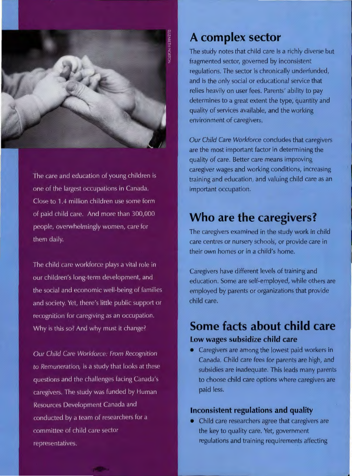

The care and education of young children is one of the largest occupations in Canada. Close to 1.4 million children use some form of paid child care. And more than 300,000 people, overwhelmingly women, care for them daily.

The child care workforce plays a vital role in our children's long-term development, and the social and economic well-being of families and society. Yet, there's little public support or recognition for caregiving as an occupation. Why is this so? And why must it change?

Our Child Care Workforce: From Recognition to Remuneration, is a study that looks at these questions and the challenges facing Canada's caregivers. The study was funded by Human Resources Development Canada and conducted by a team of researchers for a committee of child care sector representatives.

### **A complex sector**

The study notes that child care is a richly diverse but fragmented sector, governed by inconsistent regulations. The sector is chronically underfunded, and is the only social or educational service that relies heavily on user fees. Parents' ability to pay determines to a great extent the type, quantity and quality of services available, and the working environment of caregivers.

Our Child Care Workforce concludes that caregivers are the most important factor in determining the quality of care. Better care means improving caregiver wages and working conditions, increasing training and education, and valuing child care as an important occupation.

## **Who are the caregivers?**

The caregivers examined in the study work in child care centres or nursery schools, or provide care in their own homes or in a child's home.

Caregivers have different levels of training and education. Some are self-employed, while others are employed by parents or organizations that provide child care.

## **Some facts about child care Low wages subsidize child care**

• Caregivers are among the lowest paid workers in Canada. Child care fees for parents are high, and subsidies are inadequate. This leads many parents to choose child care options where caregivers are paid less.

#### **Inconsistent regulations and quality**

• Child care researchers agree that caregivers are the key to quality care. Yet, government regulations and training requirements affecting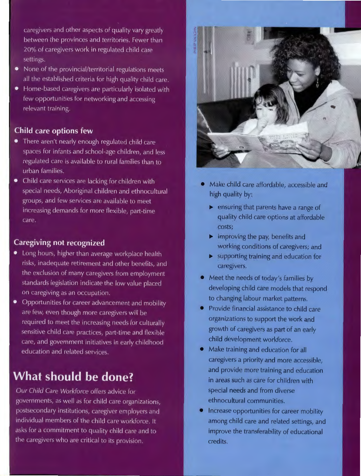caregivers and other aspects of quality vary greatly between the provinces and territories. Fewer than 20% of caregivers work in regulated child care settings.

- None of the provincial/territorial regulations meets all the established criteria for high quality child care.
- Home-based caregivers are particularly isolated with few opportunities for networking and accessing relevant training.

#### **Child care options few**

- There aren't nearly enough regulated child care spaces for infants and school-age children, and less regulated care is available to rural families than to urban families.
- Child care services are lacking for children with special needs, Aboriginal children and ethnocultural groups, and few services are available to meet increasing demands for more flexible, part-time care.

#### **Caregiving not recognized**

- Long hours, higher than average workplace health risks, inadequate retirement and other benefits, and the exclusion of many caregivers from employment standards legislation indicate the low value placed on caregiving as an occupation.
- Opportunities for career advancement and mobility are few, even though more caregivers will be required to meet the increasing needs for culturally sensitive child care practices, part-time and flexible care, and government initiatives in early childhood education and related services.

## **What should be done?**

Our Child Care Workforce offers advice for govern ments, as well as for child care organizations, postsecondary institutions, caregiver employers and individual members of the child care workforce. It asks for a commitment to quality child care and to the caregivers who are critical to its provision.



- Make child care affordable, accessible and high quality by:
	- **1** ensuring that parents have a range of quality child care options at affordable costs;
	- **1111>** improving the pay, benefits and working conditions of caregivers; and
	- **1111>** supporting training and education for caregivers.
- Meet the needs of today's families by developing child care models that respond to changing labour market patterns.
- Provide financial assistance to child care organizations to support the work and growth of caregivers as part of an early child development workforce.
- Make training and education for all caregivers a priority and more accessible, and provide more training and education in areas such as care for children with special needs and from diverse ethnocultural communities.
- Increase opportunities for career mobility among child care and related settings, and improve the transferability of educational credits.